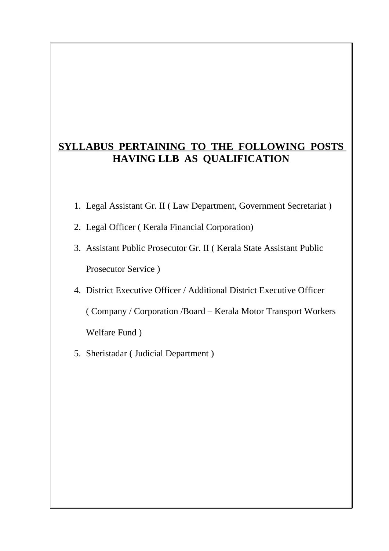# **SYLLABUS PERTAINING TO THE FOLLOWING POSTS HAVING LLB AS QUALIFICATION**

- 1. Legal Assistant Gr. II ( Law Department, Government Secretariat )
- 2. Legal Officer ( Kerala Financial Corporation)
- 3. Assistant Public Prosecutor Gr. II ( Kerala State Assistant Public Prosecutor Service )
- 4. District Executive Officer / Additional District Executive Officer ( Company / Corporation /Board – Kerala Motor Transport Workers Welfare Fund )
- 5. Sheristadar ( Judicial Department )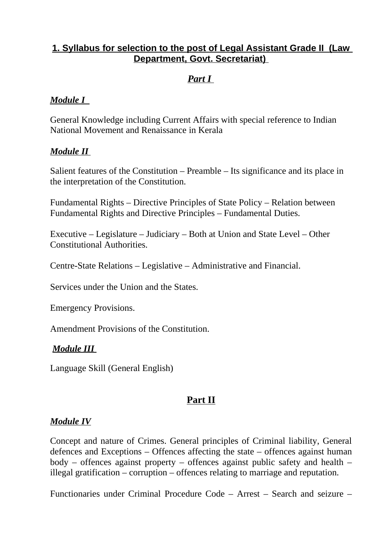# **1. Syllabus for selection to the post of Legal Assistant Grade II (Law Department, Govt. Secretariat)**

# *Part I*

### *Module I*

General Knowledge including Current Affairs with special reference to Indian National Movement and Renaissance in Kerala

## *Module II*

Salient features of the Constitution – Preamble – Its significance and its place in the interpretation of the Constitution.

Fundamental Rights – Directive Principles of State Policy – Relation between Fundamental Rights and Directive Principles – Fundamental Duties.

Executive – Legislature – Judiciary – Both at Union and State Level – Other Constitutional Authorities.

Centre-State Relations – Legislative – Administrative and Financial.

Services under the Union and the States.

Emergency Provisions.

Amendment Provisions of the Constitution.

#### *Module III*

Language Skill (General English)

# **Part II**

#### *Module IV*

Concept and nature of Crimes. General principles of Criminal liability, General defences and Exceptions – Offences affecting the state – offences against human body – offences against property – offences against public safety and health – illegal gratification – corruption – offences relating to marriage and reputation.

Functionaries under Criminal Procedure Code – Arrest – Search and seizure –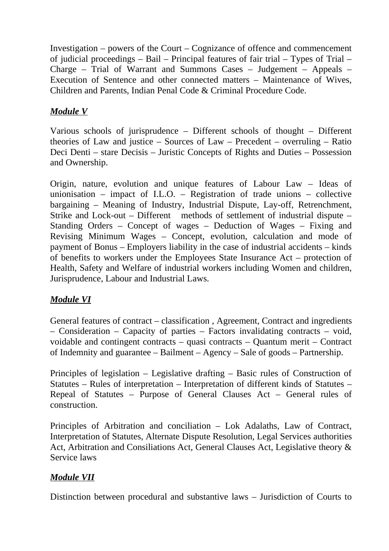Investigation – powers of the Court – Cognizance of offence and commencement of judicial proceedings – Bail – Principal features of fair trial – Types of Trial – Charge – Trial of Warrant and Summons Cases – Judgement – Appeals – Execution of Sentence and other connected matters – Maintenance of Wives, Children and Parents, Indian Penal Code & Criminal Procedure Code.

## *Module V*

Various schools of jurisprudence – Different schools of thought – Different theories of Law and justice – Sources of Law – Precedent – overruling – Ratio Deci Denti – stare Decisis – Juristic Concepts of Rights and Duties – Possession and Ownership.

Origin, nature, evolution and unique features of Labour Law – Ideas of unionisation – impact of I.L.O. – Registration of trade unions – collective bargaining – Meaning of Industry, Industrial Dispute, Lay-off, Retrenchment, Strike and Lock-out – Different methods of settlement of industrial dispute – Standing Orders – Concept of wages – Deduction of Wages – Fixing and Revising Minimum Wages – Concept, evolution, calculation and mode of payment of Bonus – Employers liability in the case of industrial accidents – kinds of benefits to workers under the Employees State Insurance Act – protection of Health, Safety and Welfare of industrial workers including Women and children, Jurisprudence, Labour and Industrial Laws.

# *Module VI*

General features of contract – classification , Agreement, Contract and ingredients  $-$  Consideration  $-$  Capacity of parties  $-$  Factors invalidating contracts  $-$  void, voidable and contingent contracts – quasi contracts – Quantum merit – Contract of Indemnity and guarantee – Bailment – Agency – Sale of goods – Partnership.

Principles of legislation – Legislative drafting – Basic rules of Construction of Statutes – Rules of interpretation – Interpretation of different kinds of Statutes – Repeal of Statutes – Purpose of General Clauses Act – General rules of construction.

Principles of Arbitration and conciliation – Lok Adalaths, Law of Contract, Interpretation of Statutes, Alternate Dispute Resolution, Legal Services authorities Act, Arbitration and Consiliations Act, General Clauses Act, Legislative theory & Service laws

# *Module VII*

Distinction between procedural and substantive laws – Jurisdiction of Courts to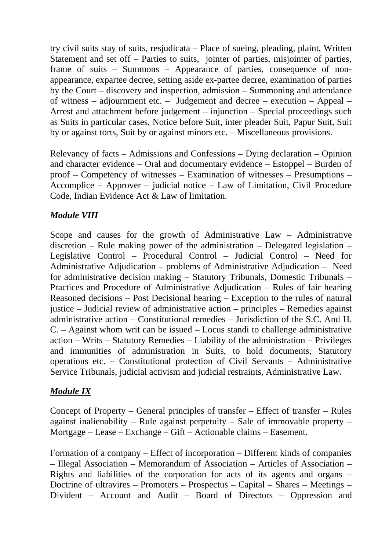try civil suits stay of suits, resjudicata – Place of sueing, pleading, plaint, Written Statement and set off – Parties to suits, jointer of parties, misjointer of parties, frame of suits – Summons – Appearance of parties, consequence of nonappearance, expartee decree, setting aside ex-partee decree, examination of parties by the Court – discovery and inspection, admission – Summoning and attendance of witness – adjournment etc. – Judgement and decree – execution – Appeal – Arrest and attachment before judgement – injunction – Special proceedings such as Suits in particular cases, Notice before Suit, inter pleader Suit, Papur Suit, Suit by or against torts, Suit by or against minors etc. – Miscellaneous provisions.

Relevancy of facts – Admissions and Confessions – Dying declaration – Opinion and character evidence – Oral and documentary evidence – Estoppel – Burden of proof – Competency of witnesses – Examination of witnesses – Presumptions – Accomplice – Approver – judicial notice – Law of Limitation, Civil Procedure Code, Indian Evidence Act & Law of limitation.

## *Module VIII*

Scope and causes for the growth of Administrative Law – Administrative discretion – Rule making power of the administration – Delegated legislation – Legislative Control – Procedural Control – Judicial Control – Need for Administrative Adjudication – problems of Administrative Adjudication – Need for administrative decision making – Statutory Tribunals, Domestic Tribunals – Practices and Procedure of Administrative Adjudication – Rules of fair hearing Reasoned decisions – Post Decisional hearing – Exception to the rules of natural justice – Judicial review of administrative action – principles – Remedies against administrative action – Constitutional remedies – Jurisdiction of the S.C. And H. C. – Against whom writ can be issued – Locus standi to challenge administrative action – Writs – Statutory Remedies – Liability of the administration – Privileges and immunities of administration in Suits, to hold documents, Statutory operations etc. – Constitutional protection of Civil Servants – Administrative Service Tribunals, judicial activism and judicial restraints, Administrative Law.

# *Module IX*

Concept of Property – General principles of transfer – Effect of transfer – Rules against inalienability – Rule against perpetuity – Sale of immovable property – Mortgage – Lease – Exchange – Gift – Actionable claims – Easement.

Formation of a company – Effect of incorporation – Different kinds of companies – Illegal Association – Memorandum of Association – Articles of Association – Rights and liabilities of the corporation for acts of its agents and organs – Doctrine of ultravires – Promoters – Prospectus – Capital – Shares – Meetings – Divident – Account and Audit – Board of Directors – Oppression and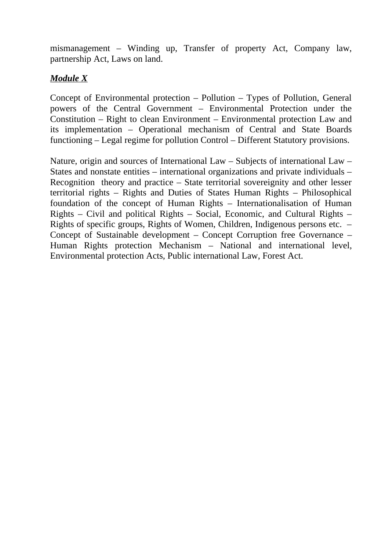mismanagement – Winding up, Transfer of property Act, Company law, partnership Act, Laws on land.

## *Module X*

Concept of Environmental protection – Pollution – Types of Pollution, General powers of the Central Government – Environmental Protection under the Constitution – Right to clean Environment – Environmental protection Law and its implementation – Operational mechanism of Central and State Boards functioning – Legal regime for pollution Control – Different Statutory provisions.

Nature, origin and sources of International Law – Subjects of international Law – States and nonstate entities – international organizations and private individuals – Recognition theory and practice – State territorial sovereignity and other lesser territorial rights – Rights and Duties of States Human Rights – Philosophical foundation of the concept of Human Rights – Internationalisation of Human Rights – Civil and political Rights – Social, Economic, and Cultural Rights – Rights of specific groups, Rights of Women, Children, Indigenous persons etc. – Concept of Sustainable development – Concept Corruption free Governance – Human Rights protection Mechanism – National and international level, Environmental protection Acts, Public international Law, Forest Act.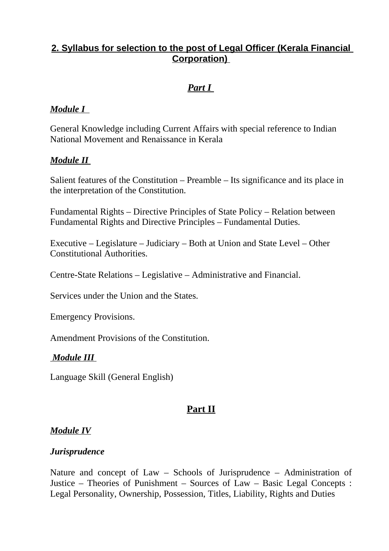# **2. Syllabus for selection to the post of Legal Officer (Kerala Financial Corporation)**

# *Part I*

### *Module I*

General Knowledge including Current Affairs with special reference to Indian National Movement and Renaissance in Kerala

## *Module II*

Salient features of the Constitution – Preamble – Its significance and its place in the interpretation of the Constitution.

Fundamental Rights – Directive Principles of State Policy – Relation between Fundamental Rights and Directive Principles – Fundamental Duties.

Executive – Legislature – Judiciary – Both at Union and State Level – Other Constitutional Authorities.

Centre-State Relations – Legislative – Administrative and Financial.

Services under the Union and the States.

Emergency Provisions.

Amendment Provisions of the Constitution.

#### *Module III*

Language Skill (General English)

# **Part II**

#### *Module IV*

#### *Jurisprudence*

Nature and concept of Law – Schools of Jurisprudence – Administration of Justice – Theories of Punishment – Sources of Law – Basic Legal Concepts : Legal Personality, Ownership, Possession, Titles, Liability, Rights and Duties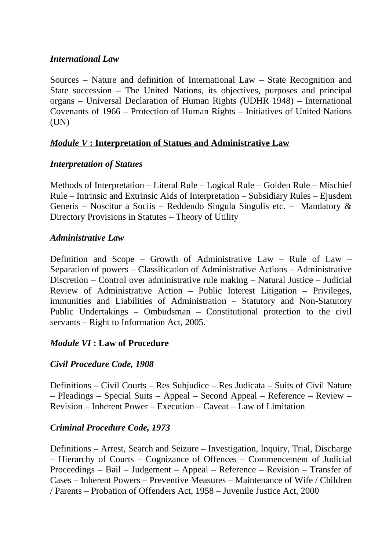#### *International Law*

Sources – Nature and definition of International Law – State Recognition and State succession – The United Nations, its objectives, purposes and principal organs – Universal Declaration of Human Rights (UDHR 1948) – International Covenants of 1966 – Protection of Human Rights – Initiatives of United Nations (UN)

## *Module V* **: Interpretation of Statues and Administrative Law**

## *Interpretation of Statues*

Methods of Interpretation – Literal Rule – Logical Rule – Golden Rule – Mischief Rule – Intrinsic and Extrinsic Aids of Interpretation – Subsidiary Rules – Ejusdem Generis – Noscitur a Sociis – Reddendo Singula Singulis etc. – Mandatory & Directory Provisions in Statutes – Theory of Utility

## *Administrative Law*

Definition and Scope – Growth of Administrative Law – Rule of Law – Separation of powers – Classification of Administrative Actions – Administrative Discretion – Control over administrative rule making – Natural Justice – Judicial Review of Administrative Action – Public Interest Litigation – Privileges, immunities and Liabilities of Administration – Statutory and Non-Statutory Public Undertakings – Ombudsman – Constitutional protection to the civil servants – Right to Information Act, 2005.

# *Module VI* **: Law of Procedure**

#### *Civil Procedure Code, 1908*

Definitions – Civil Courts – Res Subjudice – Res Judicata – Suits of Civil Nature – Pleadings – Special Suits – Appeal – Second Appeal – Reference – Review – Revision – Inherent Power – Execution – Caveat – Law of Limitation

#### *Criminal Procedure Code, 1973*

Definitions – Arrest, Search and Seizure – Investigation, Inquiry, Trial, Discharge – Hierarchy of Courts – Cognizance of Offences – Commencement of Judicial Proceedings – Bail – Judgement – Appeal – Reference – Revision – Transfer of Cases – Inherent Powers – Preventive Measures – Maintenance of Wife / Children / Parents – Probation of Offenders Act, 1958 – Juvenile Justice Act, 2000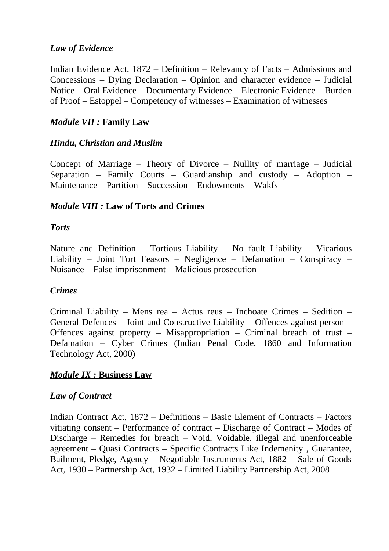## *Law of Evidence*

Indian Evidence Act, 1872 – Definition – Relevancy of Facts – Admissions and Concessions – Dying Declaration – Opinion and character evidence – Judicial Notice – Oral Evidence – Documentary Evidence – Electronic Evidence – Burden of Proof – Estoppel – Competency of witnesses – Examination of witnesses

## *Module VII :* **Family Law**

#### *Hindu, Christian and Muslim*

Concept of Marriage – Theory of Divorce – Nullity of marriage – Judicial Separation – Family Courts – Guardianship and custody – Adoption – Maintenance – Partition – Succession – Endowments – Wakfs

## *Module VIII :* **Law of Torts and Crimes**

#### *Torts*

Nature and Definition – Tortious Liability – No fault Liability – Vicarious Liability – Joint Tort Feasors – Negligence – Defamation – Conspiracy – Nuisance – False imprisonment – Malicious prosecution

#### *Crimes*

Criminal Liability – Mens rea – Actus reus – Inchoate Crimes – Sedition – General Defences – Joint and Constructive Liability – Offences against person – Offences against property – Misappropriation – Criminal breach of trust – Defamation – Cyber Crimes (Indian Penal Code, 1860 and Information Technology Act, 2000)

#### *Module IX :* **Business Law**

#### *Law of Contract*

Indian Contract Act, 1872 – Definitions – Basic Element of Contracts – Factors vitiating consent – Performance of contract – Discharge of Contract – Modes of Discharge – Remedies for breach – Void, Voidable, illegal and unenforceable agreement – Quasi Contracts – Specific Contracts Like Indemenity , Guarantee, Bailment, Pledge, Agency – Negotiable Instruments Act, 1882 – Sale of Goods Act, 1930 – Partnership Act, 1932 – Limited Liability Partnership Act, 2008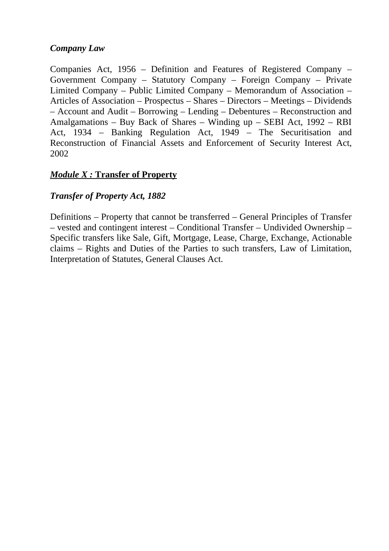## *Company Law*

Companies Act, 1956 – Definition and Features of Registered Company – Government Company – Statutory Company – Foreign Company – Private Limited Company – Public Limited Company – Memorandum of Association – Articles of Association – Prospectus – Shares – Directors – Meetings – Dividends – Account and Audit – Borrowing – Lending – Debentures – Reconstruction and Amalgamations – Buy Back of Shares – Winding up – SEBI Act, 1992 – RBI Act, 1934 – Banking Regulation Act, 1949 – The Securitisation and Reconstruction of Financial Assets and Enforcement of Security Interest Act, 2002

## *Module X :* **Transfer of Property**

## *Transfer of Property Act, 1882*

Definitions – Property that cannot be transferred – General Principles of Transfer – vested and contingent interest – Conditional Transfer – Undivided Ownership – Specific transfers like Sale, Gift, Mortgage, Lease, Charge, Exchange, Actionable claims – Rights and Duties of the Parties to such transfers, Law of Limitation, Interpretation of Statutes, General Clauses Act.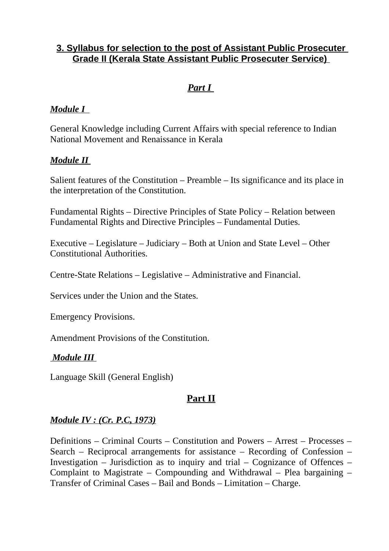## **3. Syllabus for selection to the post of Assistant Public Prosecuter Grade II (Kerala State Assistant Public Prosecuter Service)**

# *Part I*

## *Module I*

General Knowledge including Current Affairs with special reference to Indian National Movement and Renaissance in Kerala

## *Module II*

Salient features of the Constitution – Preamble – Its significance and its place in the interpretation of the Constitution.

Fundamental Rights – Directive Principles of State Policy – Relation between Fundamental Rights and Directive Principles – Fundamental Duties.

Executive – Legislature – Judiciary – Both at Union and State Level – Other Constitutional Authorities.

Centre-State Relations – Legislative – Administrative and Financial.

Services under the Union and the States.

Emergency Provisions.

Amendment Provisions of the Constitution.

#### *Module III*

Language Skill (General English)

#### **Part II**

#### *Module IV : (Cr. P.C, 1973)*

Definitions – Criminal Courts – Constitution and Powers – Arrest – Processes – Search – Reciprocal arrangements for assistance – Recording of Confession – Investigation – Jurisdiction as to inquiry and trial – Cognizance of Offences – Complaint to Magistrate – Compounding and Withdrawal – Plea bargaining – Transfer of Criminal Cases – Bail and Bonds – Limitation – Charge.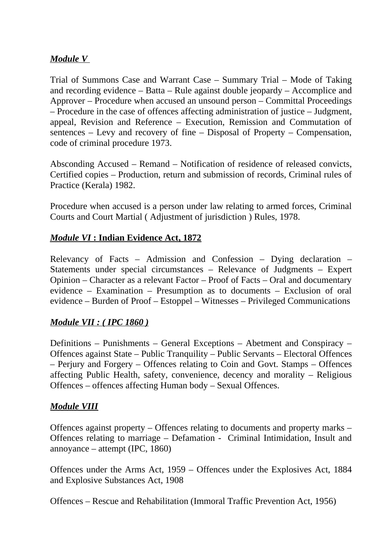## *Module V*

Trial of Summons Case and Warrant Case – Summary Trial – Mode of Taking and recording evidence – Batta – Rule against double jeopardy – Accomplice and Approver – Procedure when accused an unsound person – Committal Proceedings – Procedure in the case of offences affecting administration of justice – Judgment, appeal, Revision and Reference – Execution, Remission and Commutation of sentences – Levy and recovery of fine – Disposal of Property – Compensation, code of criminal procedure 1973.

Absconding Accused – Remand – Notification of residence of released convicts, Certified copies – Production, return and submission of records, Criminal rules of Practice (Kerala) 1982.

Procedure when accused is a person under law relating to armed forces, Criminal Courts and Court Martial ( Adjustment of jurisdiction ) Rules, 1978.

#### *Module VI* **: Indian Evidence Act, 1872**

Relevancy of Facts – Admission and Confession – Dying declaration – Statements under special circumstances – Relevance of Judgments – Expert Opinion – Character as a relevant Factor – Proof of Facts – Oral and documentary evidence – Examination – Presumption as to documents – Exclusion of oral evidence – Burden of Proof – Estoppel – Witnesses – Privileged Communications

#### *Module VII : ( IPC 1860 )*

Definitions – Punishments – General Exceptions – Abetment and Conspiracy – Offences against State – Public Tranquility – Public Servants – Electoral Offences – Perjury and Forgery – Offences relating to Coin and Govt. Stamps – Offences affecting Public Health, safety, convenience, decency and morality – Religious Offences – offences affecting Human body – Sexual Offences.

#### *Module VIII*

Offences against property – Offences relating to documents and property marks – Offences relating to marriage – Defamation - Criminal Intimidation, Insult and annoyance – attempt (IPC, 1860)

Offences under the Arms Act, 1959 – Offences under the Explosives Act, 1884 and Explosive Substances Act, 1908

Offences – Rescue and Rehabilitation (Immoral Traffic Prevention Act, 1956)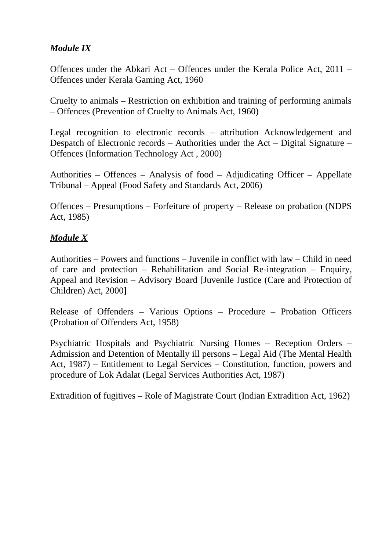## *Module IX*

Offences under the Abkari Act – Offences under the Kerala Police Act, 2011 – Offences under Kerala Gaming Act, 1960

Cruelty to animals – Restriction on exhibition and training of performing animals – Offences (Prevention of Cruelty to Animals Act, 1960)

Legal recognition to electronic records – attribution Acknowledgement and Despatch of Electronic records – Authorities under the Act – Digital Signature – Offences (Information Technology Act , 2000)

Authorities – Offences – Analysis of food – Adjudicating Officer – Appellate Tribunal – Appeal (Food Safety and Standards Act, 2006)

Offences – Presumptions – Forfeiture of property – Release on probation (NDPS Act, 1985)

## *Module X*

Authorities – Powers and functions – Juvenile in conflict with law – Child in need of care and protection – Rehabilitation and Social Re-integration – Enquiry, Appeal and Revision – Advisory Board [Juvenile Justice (Care and Protection of Children) Act, 2000]

Release of Offenders – Various Options – Procedure – Probation Officers (Probation of Offenders Act, 1958)

Psychiatric Hospitals and Psychiatric Nursing Homes – Reception Orders – Admission and Detention of Mentally ill persons – Legal Aid (The Mental Health Act, 1987) – Entitlement to Legal Services – Constitution, function, powers and procedure of Lok Adalat (Legal Services Authorities Act, 1987)

Extradition of fugitives – Role of Magistrate Court (Indian Extradition Act, 1962)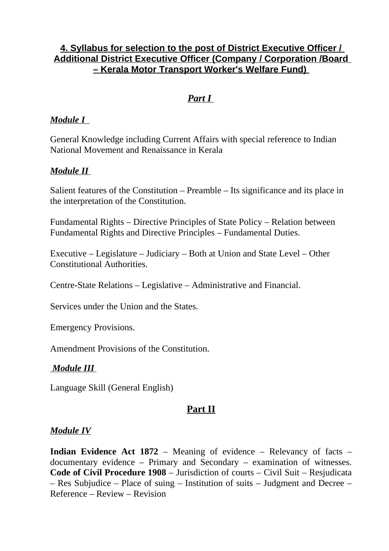# **4. Syllabus for selection to the post of District Executive Officer / Additional District Executive Officer (Company / Corporation /Board – Kerala Motor Transport Worker's Welfare Fund)**

# *Part I*

### *Module I*

General Knowledge including Current Affairs with special reference to Indian National Movement and Renaissance in Kerala

## *Module II*

Salient features of the Constitution – Preamble – Its significance and its place in the interpretation of the Constitution.

Fundamental Rights – Directive Principles of State Policy – Relation between Fundamental Rights and Directive Principles – Fundamental Duties.

Executive – Legislature – Judiciary – Both at Union and State Level – Other Constitutional Authorities.

Centre-State Relations – Legislative – Administrative and Financial.

Services under the Union and the States.

Emergency Provisions.

Amendment Provisions of the Constitution.

#### *Module III*

Language Skill (General English)

# **Part II**

#### *Module IV*

**Indian Evidence Act 1872** – Meaning of evidence – Relevancy of facts – documentary evidence – Primary and Secondary – examination of witnesses. **Code of Civil Procedure 1908** – Jurisdiction of courts – Civil Suit – Resjudicata – Res Subjudice – Place of suing – Institution of suits – Judgment and Decree – Reference – Review – Revision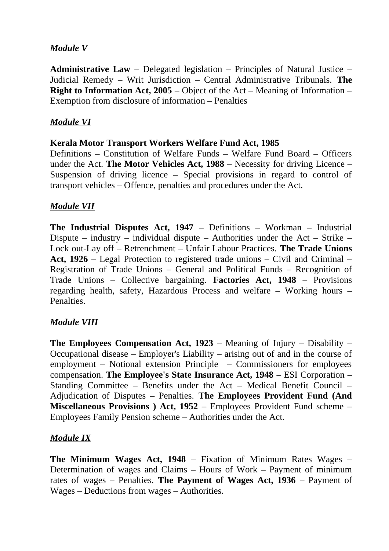## *Module V*

**Administrative Law** – Delegated legislation – Principles of Natural Justice – Judicial Remedy – Writ Jurisdiction – Central Administrative Tribunals. **The Right to Information Act, 2005** – Object of the Act – Meaning of Information – Exemption from disclosure of information – Penalties

## *Module VI*

#### **Kerala Motor Transport Workers Welfare Fund Act, 1985**

Definitions – Constitution of Welfare Funds – Welfare Fund Board – Officers under the Act. **The Motor Vehicles Act, 1988** – Necessity for driving Licence – Suspension of driving licence – Special provisions in regard to control of transport vehicles – Offence, penalties and procedures under the Act.

## *Module VII*

**The Industrial Disputes Act, 1947** – Definitions – Workman – Industrial Dispute – industry – individual dispute – Authorities under the Act – Strike – Lock out-Lay off – Retrenchment – Unfair Labour Practices. **The Trade Unions Act, 1926** – Legal Protection to registered trade unions – Civil and Criminal – Registration of Trade Unions – General and Political Funds – Recognition of Trade Unions – Collective bargaining. **Factories Act, 1948** – Provisions regarding health, safety, Hazardous Process and welfare – Working hours – Penalties.

#### *Module VIII*

**The Employees Compensation Act, 1923** – Meaning of Injury – Disability – Occupational disease – Employer's Liability – arising out of and in the course of employment – Notional extension Principle – Commissioners for employees compensation. **The Employee's State Insurance Act, 1948** – ESI Corporation – Standing Committee – Benefits under the Act – Medical Benefit Council – Adjudication of Disputes – Penalties. **The Employees Provident Fund (And Miscellaneous Provisions ) Act, 1952** – Employees Provident Fund scheme – Employees Family Pension scheme – Authorities under the Act.

#### *Module IX*

**The Minimum Wages Act, 1948** – Fixation of Minimum Rates Wages – Determination of wages and Claims – Hours of Work – Payment of minimum rates of wages – Penalties. **The Payment of Wages Act, 1936** – Payment of Wages – Deductions from wages – Authorities.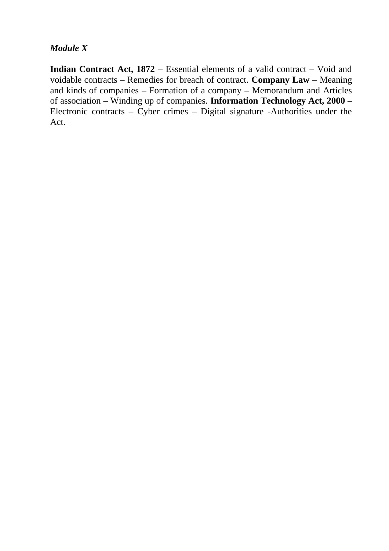# *Module X*

**Indian Contract Act, 1872** – Essential elements of a valid contract – Void and voidable contracts – Remedies for breach of contract. **Company Law** – Meaning and kinds of companies – Formation of a company – Memorandum and Articles of association – Winding up of companies. **Information Technology Act, 2000** – Electronic contracts –  $\overline{Cy}$  crimes – Digital signature -Authorities under the Act.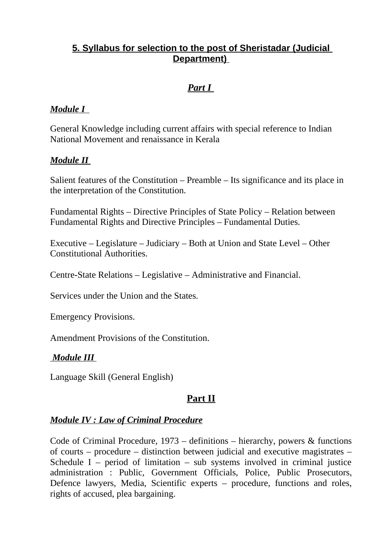# **5. Syllabus for selection to the post of Sheristadar (Judicial Department)**

# *Part I*

## *Module I*

General Knowledge including current affairs with special reference to Indian National Movement and renaissance in Kerala

## *Module II*

Salient features of the Constitution – Preamble – Its significance and its place in the interpretation of the Constitution.

Fundamental Rights – Directive Principles of State Policy – Relation between Fundamental Rights and Directive Principles – Fundamental Duties.

Executive – Legislature – Judiciary – Both at Union and State Level – Other Constitutional Authorities.

Centre-State Relations – Legislative – Administrative and Financial.

Services under the Union and the States.

Emergency Provisions.

Amendment Provisions of the Constitution.

#### *Module III*

Language Skill (General English)

# **Part II**

#### *Module IV : Law of Criminal Procedure*

Code of Criminal Procedure, 1973 – definitions – hierarchy, powers & functions of courts – procedure – distinction between judicial and executive magistrates – Schedule I – period of limitation – sub systems involved in criminal justice administration : Public, Government Officials, Police, Public Prosecutors, Defence lawyers, Media, Scientific experts – procedure, functions and roles, rights of accused, plea bargaining.